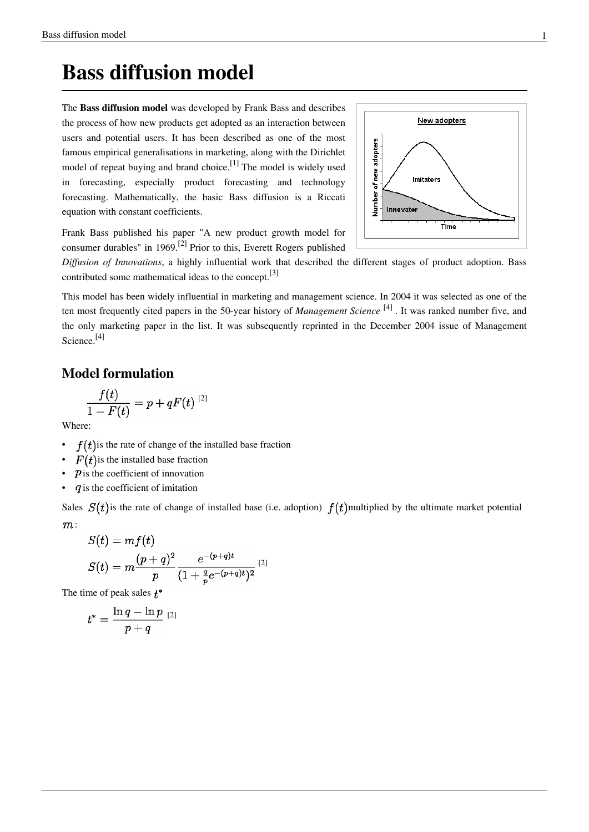## **Bass diffusion model**

The **Bass diffusion model** was developed by [Frank Bass a](http://en.wikipedia.org/w/index.php?title=Frank_Bass)nd describes the process of how new products get adopted as an interaction between users and potential users. It has been described as one of the most famous empirical generalisations in marketing, along with the [Dirichlet](http://en.wikipedia.org/w/index.php?title=Andrew_Ehrenberg) [model o](http://en.wikipedia.org/w/index.php?title=Andrew_Ehrenberg)f repeat buying and brand choice.<sup>[1]</sup> The model is widely used in [forecasting,](http://en.wikipedia.org/w/index.php?title=Forecasting) especially [product forecasting a](http://en.wikipedia.org/w/index.php?title=Product_forecasting)nd [technolog](http://en.wikipedia.org/w/index.php?title=Technology_forecasting)y [forecasting](http://en.wikipedia.org/w/index.php?title=Technology_forecasting). Mathematically, the basic Bass diffusion is a [Riccat](http://en.wikipedia.org/w/index.php?title=Riccati_equation)i [equation w](http://en.wikipedia.org/w/index.php?title=Riccati_equation)ith constant coefficients.



Frank Bass published his paper "A new product growth model for consumer durables" in 1969.<sup>[2]</sup> Prior to this, [Everett Rogers](http://en.wikipedia.org/w/index.php?title=Everett_Rogers) published

*Diffusion of Innovations*, a highly influential work that described the different stages of product adoption. Bass contributed some mathematical ideas to the concept.[3]

This model has been widely influential in marketing and management science. In 2004 it was selected as one of the ten most frequently cited papers in the 50-year history of *Management Science* [4] . It was ranked number five, and the only marketing paper in the list. It was subsequently reprinted in the December 2004 issue of Management Science.<sup>[4]</sup>

### **Model formulation**

$$
\frac{f(t)}{1-F(t)}=p+qF(t)^{~~[2]}
$$

Where:

- $f(t)$  is the rate of change of the installed base fraction
- $F(t)$  is the installed base fraction
- $\bullet$   $\mathbf{\hat{p}}$  is the coefficient of innovation
- $q$  is the coefficient of imitation

Sales  $S(t)$  is the rate of change of installed base (i.e. adoption)  $f(t)$  multiplied by the ultimate market potential  $m$ :

$$
\begin{aligned} S(t) &= mf(t) \\ S(t) &= m \frac{(p+q)^2}{p} \frac{e^{-(p+q)t}}{(1+\frac{q}{p}e^{-(p+q)t})^2} \end{aligned} \tag{2}
$$

The time of peak sales  $t^*$ 

$$
t^*=\frac{\ln q-\ln p}{p+q}\;{}^{[2]}
$$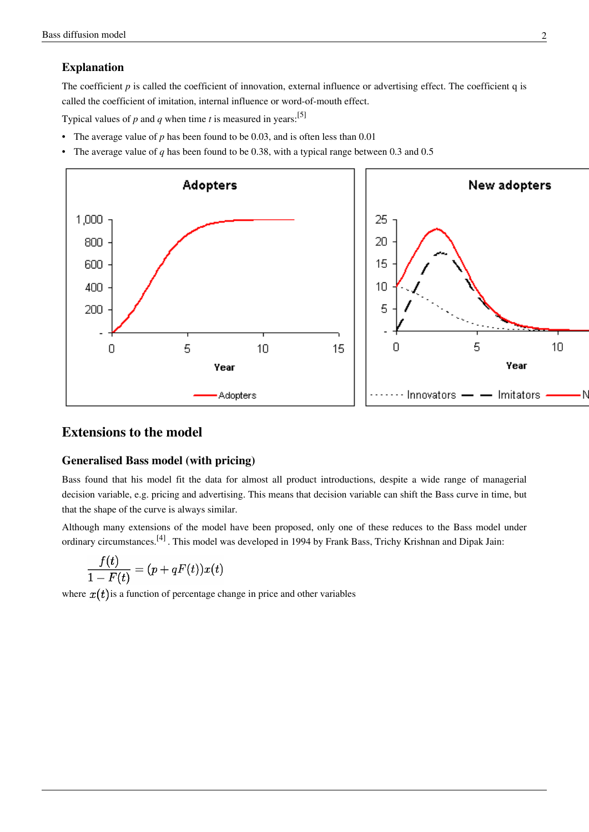#### **Explanation**

The coefficient *p* is called the coefficient of innovation, external influence or advertising effect. The coefficient q is called the coefficient of imitation, internal influence or word-of-mouth effect.

Typical values of  $p$  and  $q$  when time  $t$  is measured in years:<sup>[5]</sup>

- The average value of *p* has been found to be 0.03, and is often less than 0.01
- The average value of *q* has been found to be 0.38, with a typical range between 0.3 and 0.5



## **Extensions to the model**

#### **Generalised Bass model (with pricing)**

Bass found that his model fit the data for almost all product introductions, despite a wide range of managerial decision variable, e.g. pricing and advertising. This means that decision variable can shift the Bass curve in time, but that the shape of the curve is always similar.

Although many extensions of the model have been proposed, only one of these reduces to the Bass model under ordinary circumstances.[4] . This model was developed in 1994 by Frank Bass, Trichy Krishnan and Dipak Jain:

$$
\frac{f(t)}{1-F(t)}=(p+qF(t))x(t)
$$

where  $x(t)$  is a function of percentage change in price and other variables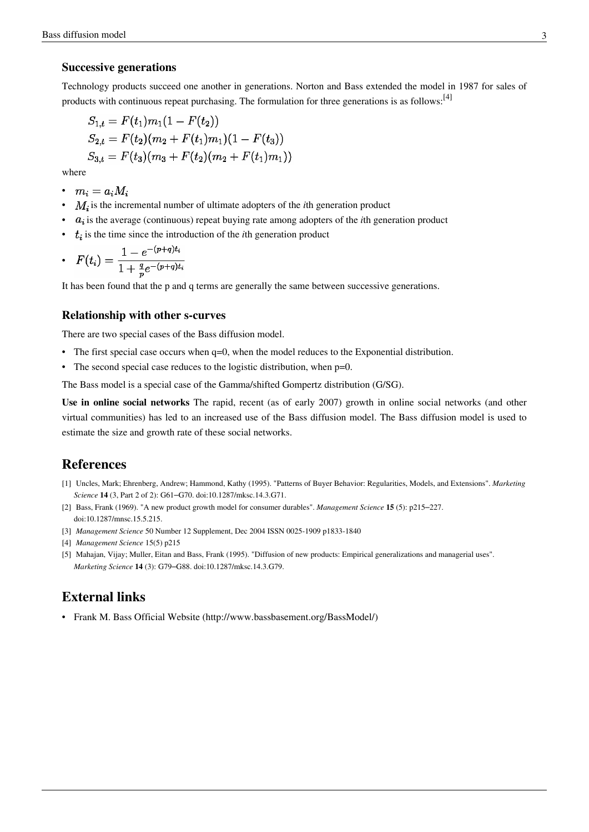#### **Successive generations**

Technology products succeed one another in generations. Norton and Bass extended the model in 1987 for sales of products with continuous repeat purchasing. The formulation for three generations is as follows:<sup>[4]</sup>

$$
S_{1,t}=F(t_1)m_1(1-F(t_2))\\ S_{2,t}=F(t_2)(m_2+F(t_1)m_1)(1-F(t_3))\\ S_{3,t}=F(t_3)(m_3+F(t_2)(m_2+F(t_1)m_1))
$$

where

- $\bullet \quad m_i=a_iM_i$
- $M_i$  is the incremental number of ultimate adopters of the *i*th generation product
- $\bullet$   $a_i$  is the average (continuous) repeat buying rate among adopters of the *i*th generation product
- $\cdot$   $t_i$  is the time since the introduction of the *i*th generation product

• 
$$
F(t_i) = \frac{1 - e^{-(p+q)t_i}}{1 + \frac{q}{p}e^{-(p+q)t_i}}
$$

It has been found that the p and q terms are generally the same between successive generations.

#### **Relationship with other s-curves**

There are two special cases of the Bass diffusion model.

- The first special case occurs when  $q=0$ , when the model reduces to the [Exponential distribution](http://en.wikipedia.org/w/index.php?title=Exponential_distribution).
- The second special case reduces to the [logistic distribution](http://en.wikipedia.org/w/index.php?title=Logistic_distribution), when p=0.

The Bass model is a special case of the Gamma/[shifted Gompertz distribution \(](http://en.wikipedia.org/w/index.php?title=Shifted_Gompertz_distribution)G/SG).

**Use in online social networks** The rapid, recent (as of early 2007) growth in online social networks (and other [virtual communities\)](http://en.wikipedia.org/w/index.php?title=Virtual_communities) has led to an increased use of the Bass diffusion model. The Bass diffusion model is used to estimate the size and growth rate of these social networks.

### **References**

- [1] Uncles, Mark; Ehrenberg, Andrew; Hammond, Kathy (1995). "Patterns of Buyer Behavior: Regularities, Models, and Extensions". *Marketing Science* **14** (3, Part 2 of 2): G61–G70. doi:10.1287/mksc.14.3.G71.
- [2] [Bass, Frank \(](http://en.wikipedia.org/w/index.php?title=Frank_Bass)1969). "A new product growth model for consumer durables". *Management Science* **15** (5): p215–227. doi:10.1287/mnsc.15.5.215.
- [3] *Management Science* 50 Number 12 Supplement, Dec 2004 ISSN 0025-1909 p1833-1840
- [4] *Management Science* 15(5) p215
- [5] Mahajan, Vijay; Muller, Eitan and Bass, Frank (1995). "Diffusion of new products: Empirical generalizations and managerial uses". *Marketing Science* **14** (3): G79–G88. doi:10.1287/mksc.14.3.G79.

### **External links**

• Frank M. Bass Official Website [\(http://www.bassbasement.org/BassModel/\)](http://www.bassbasement.org/BassModel/)